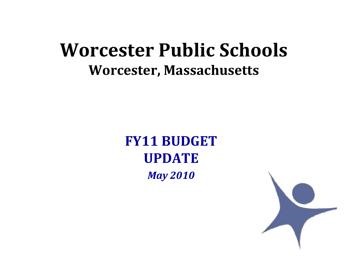#### **Worcester Public Schools Worcester, Massachusetts**

**FY11 BUDGETUPDATE***May 2010*

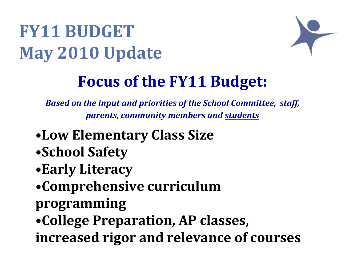

#### **Focus of the FY11 Budget:**

*Based on the input and priorities of the School Committee, staff, parents, community members and students*

- •**Low Elementary Class Size**
- •**School Safety**
- •**Early Literacy**
- •**Comprehensive curriculum**
- **programming**
- •**College Preparation, AP classes,**
- **increased rigor and relevance of courses**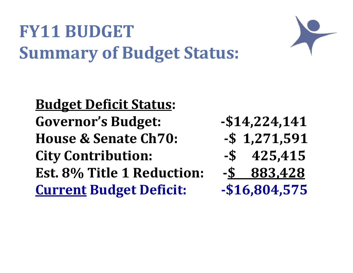### **FY11 BUDGETSummary of Budget Status:**

**Budget Deficit Status: Governor'sHouse &City Contribution: \$ 425,415 Est. 8% Title 1 Reduction: \$ 883,428 Current Budget Deficit: \$16,804,575**

**Budget: \$14,224,141**

- **Senate Ch70: \$ 1,271,591**
- 
- -

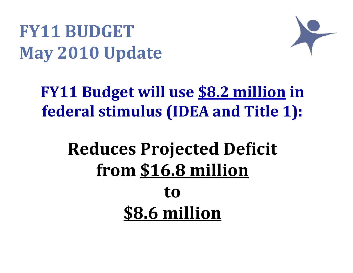

### **FY11 Budget will use \$8.2 million in federal stimulus (IDEA and Title 1):**

### **Reduces Projected Deficit from \$16.8 million to\$8.6 million**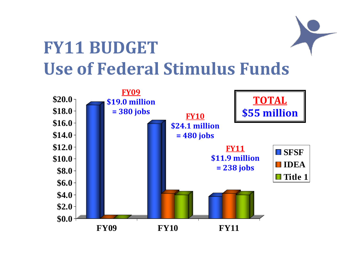## **FY11 BUDGET Use of Federal Stimulus Funds**

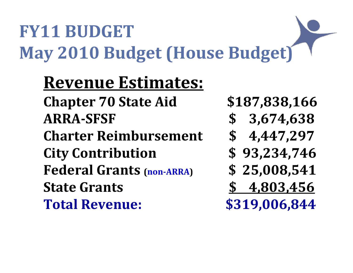## **FY11 BUDGETMay 2010 Budget (House Budget)**

### **Revenue Estimates:**

**Chapter 70 State Aid \$187,838,166 ARRASFSF \$ 3,674,638 Charter Reimbursement \$ 4,447,297 City Contribution \$ 93,234,746 Federal GrantsState Grants Total**

- 
- 
- 
- **(nonARRA) \$ 25,008,541**
- **Grants \$ 4,803,456**
- **Revenue: \$319,006,844**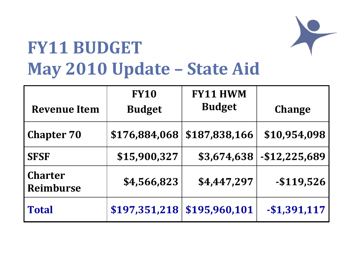

### **FY11 BUDGET May 2010 Update – State Aid**

| <b>Revenue Item</b>                | <b>FY10</b><br><b>Budget</b> | <b>FY11 HWM</b><br><b>Budget</b> | <b>Change</b>  |
|------------------------------------|------------------------------|----------------------------------|----------------|
| <b>Chapter 70</b>                  | \$176,884,068                | \$187,838,166                    | \$10,954,098   |
| <b>SFSF</b>                        | \$15,900,327                 | \$3,674,638                      | $-$12,225,689$ |
| <b>Charter</b><br><b>Reimburse</b> | \$4,566,823                  | \$4,447,297                      | $-$ \$119,526  |
| <b>Total</b>                       | \$197,351,218                | \$195,960,101                    | $-$1,391,117$  |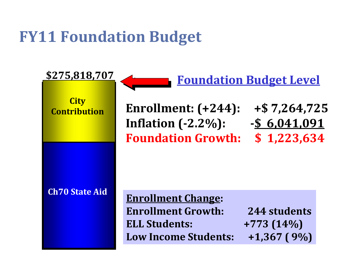#### **FY11 Foundation Budget**

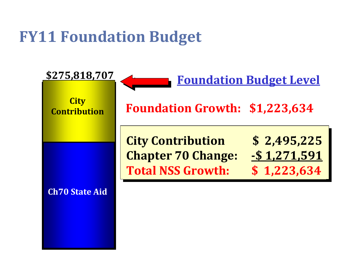#### **FY11 Foundation Budget**

![](_page_8_Figure_1.jpeg)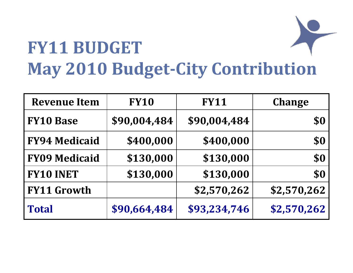## **FY11 BUDGETMay 2010 BudgetCity Contribution**

| <b>Revenue Item</b>  | <b>FY10</b>  | <b>FY11</b>  | <b>Change</b> |
|----------------------|--------------|--------------|---------------|
| <b>FY10 Base</b>     | \$90,004,484 | \$90,004,484 | \$0           |
| <b>FY94 Medicaid</b> | \$400,000    | \$400,000    | \$0           |
| <b>FY09 Medicaid</b> | \$130,000    | \$130,000    | \$0           |
| <b>FY10 INET</b>     | \$130,000    | \$130,000    | \$0           |
| <b>FY11 Growth</b>   |              | \$2,570,262  | \$2,570,262   |
| <b>Total</b>         | \$90,664,484 | \$93,234,746 | \$2,570,262   |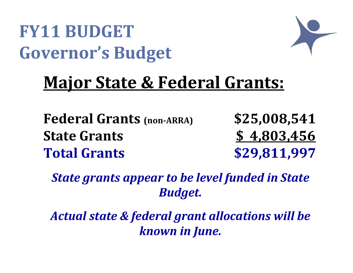### **FY11 BUDGETGovernor's Budget**

![](_page_10_Picture_1.jpeg)

### **Major State & Federal Grants:**

**Federal GrantsStateTotal**

 **(nonARRA) \$25,008,541 Grants \$ 4,803,456 Grants \$29,811,997**

*State grants appear to be level funded in State Budget.*

*Actual state & federal grant allocations will be known in June.*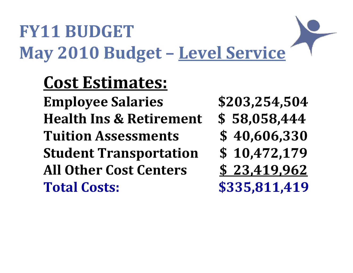## **FY11 BUDGETMay 2010 Budget – Level Service**

**Cost Estimates: Employee Salaries \$203,254,504 Health Ins &TuitionStudent Transportation \$ 10,472,179 All OtherTotal**

- 
- **Retirement \$ 58,058,444**
- **Assessments \$ 40,606,330**
- 
- **Cost Centers \$ 23,419,962**
- **Costs: \$335,811,419**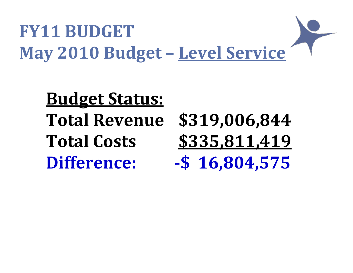## **FY11 BUDGETMay 2010 Budget – Level Service**

**Budget Status: Total Revenue \$319,006,844 Total Costs \$335,811,419 Difference: \$ 16,804,575**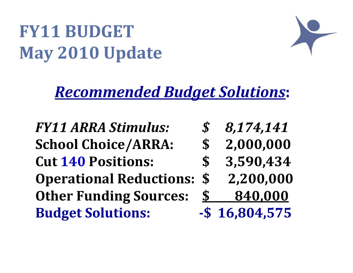#### *Recommended Budget Solutions***:**

*FY11 ARRA***School Choice/ARRA: \$ 2,000,000 Cut 140 Positions: \$ 3,590,434 Operational Reductions: \$ 2,200,000 Other Funding Sources: \$ 840,000 Budget Solutions: \$ 16,804,575**

- *Stimulus: \$ 8,174,141*
	-
	-
	-
- 
-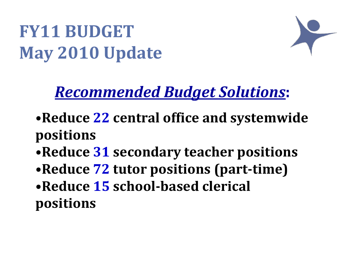![](_page_14_Picture_1.jpeg)

#### *Recommended Budget Solutions***:**

- •**Reduce 22 central office and systemwide positions**
- •**Reduce 31 secondary teacher positions**
- •**Reduce 72 tutor positions (parttime)**
- •**Reduce 15 schoolbased clerical positions**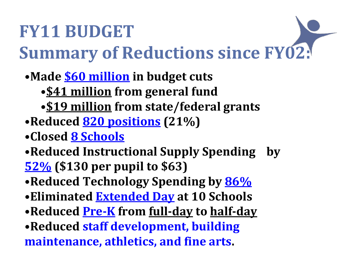## **FY11 BUDGETSummary of Reductions since FY02:**

- •**Made \$60 million in budget cuts**
	- •**\$41 million from general fund**
	- •**\$19 million from state/federal grants**
- •**Reduced 820 positions (21%)**
- •**Closed 8 Schools**
- •**Reduced Instructional Supply Spending by 52% (\$130 per pupil to \$63)**
- •**Reduced Technology Spending by 86%**
- •**Eliminated Extended Day at 10 Schools**
- •**Reduced PreK from fullday to halfday**
- •**Reduced staff development, building maintenance, athletics, and fine arts.**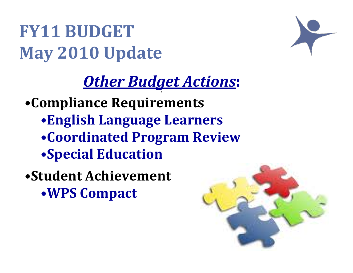### *Other Budget Actions***:**

**1**•**Compliance Requirements** •**English Language Learners** •**Coordinated Program Review** •**Special Education**

•**Student Achievement** •**WPS Compact**

![](_page_16_Picture_4.jpeg)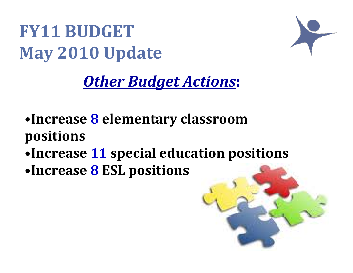![](_page_17_Picture_1.jpeg)

### *Other Budget Actions***:**

- •**Increase 8 elementary classroom positions**
- •**Increase 11 special education positions**
- •**Increase 8 ESL positions**

![](_page_17_Picture_6.jpeg)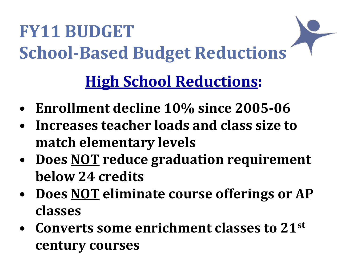# **FY11 BUDGETSchoolBased Budget Reductions High School Reductions:**

- **Enrollment decline 10% since 200506**
- **Increases teacher loads and class size to match elementary levels**
- **Does NOT reduce graduation requirement below 24 credits**
- **Does NOT eliminate course offerings or AP classes**
- **Converts some enrichment classes to 21st century courses**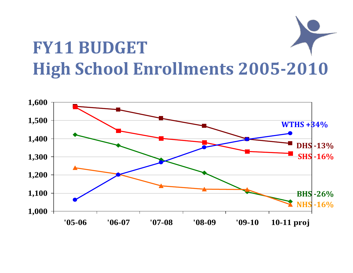## **FY11 BUDGETHigh School Enrollments 20052010**

![](_page_19_Figure_1.jpeg)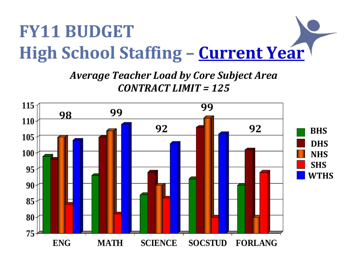## **FY11 BUDGETHigh School Staffing – Current Year**

*Average Teacher Load by Core Subject Area CONTRACT LIMIT <sup>=</sup> 125*

![](_page_20_Figure_2.jpeg)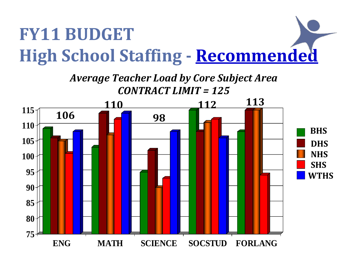# **FY11 BUDGETHigh School Staffing Recommended**

![](_page_21_Figure_1.jpeg)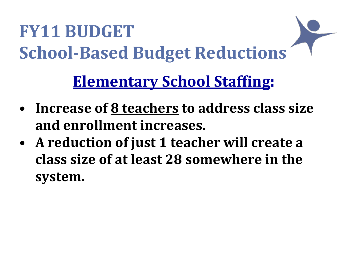## **FY11 BUDGETSchoolBased Budget Reductions Elementary School Staffing:**

- **Increase of 8 teachers to address class size and enrollment increases.**
- **A reduction of just 1 teacher will create <sup>a</sup> class size of at least 28 somewhere in the system.**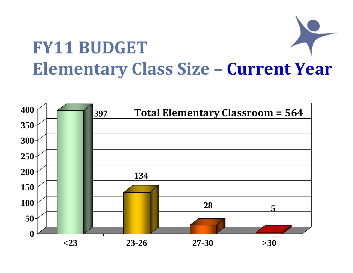## **FY11 BUDGETElementary Class Size – Current Year**

![](_page_23_Figure_1.jpeg)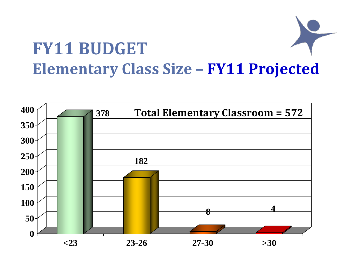## **FY11 BUDGETElementary Class Size – FY11 Projected**

![](_page_24_Figure_1.jpeg)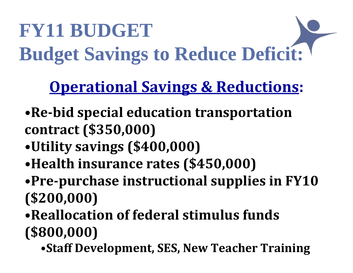# **FY11 BUDGET Budget Savings to Reduce Deficit:**

### **Operational Savings & Reductions:**

- •**Rebid special education transportation contract (\$350,000)**
- •**Utility savings (\$400,000)**
- •**Health insurance rates (\$450,000)**
- •**Prepurchase instructional supplies in FY10 (\$200,000)**
- •**Reallocation of federal stimulus funds (\$800,000)**
	- •**Staff Development, SES, New Teacher Training**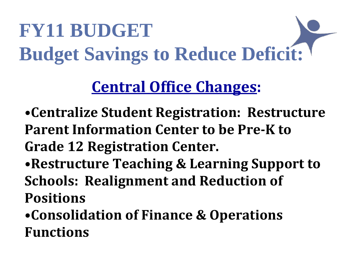# **FY11 BUDGET Budget Savings to Reduce Deficit:**

### **Central Office Changes:**

- •**Centralize Student Registration: Restructure Parent Information Center to be PreK to Grade 12 Registration Center.**
- •**Restructure Teaching & Learning Support to Schools: Realignment and Reduction of Positions**

•**Consolidation of Finance & Operations Functions**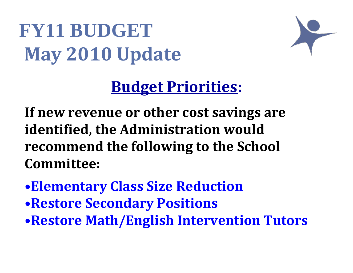![](_page_27_Picture_1.jpeg)

#### **Budget Priorities:**

**If new revenue or other cost savings are identified, the Administration would recommend the following to the School Committee:**

- •**Elementary Class Size Reduction**
- •**Restore Secondary Positions**
- •**Restore Math/English Intervention Tutors**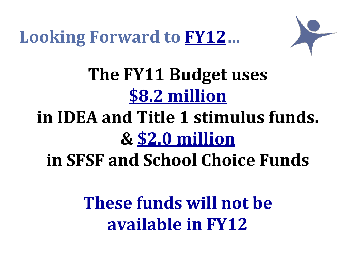**Looking Forward to FY12…**

![](_page_28_Picture_1.jpeg)

**The FY11 Budget uses \$8.2 million**

### **in IDEA and Title 1 stimulus funds. & \$2.0 million in SFSF and School Choice Funds**

**These funds will not be available in FY12**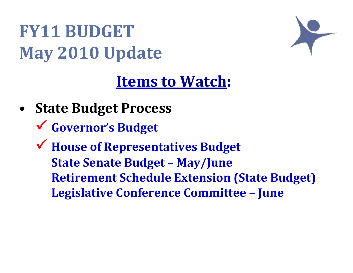![](_page_29_Figure_1.jpeg)

#### **Items to Watch:**

- **State Budget Process**
	- $\checkmark$ **Governor's Budget**
	- $\checkmark$  **House of Representatives Budget State Senate Budget – May/June Retirement Schedule Extension (State Budget) Legislative Conference Committee – June**